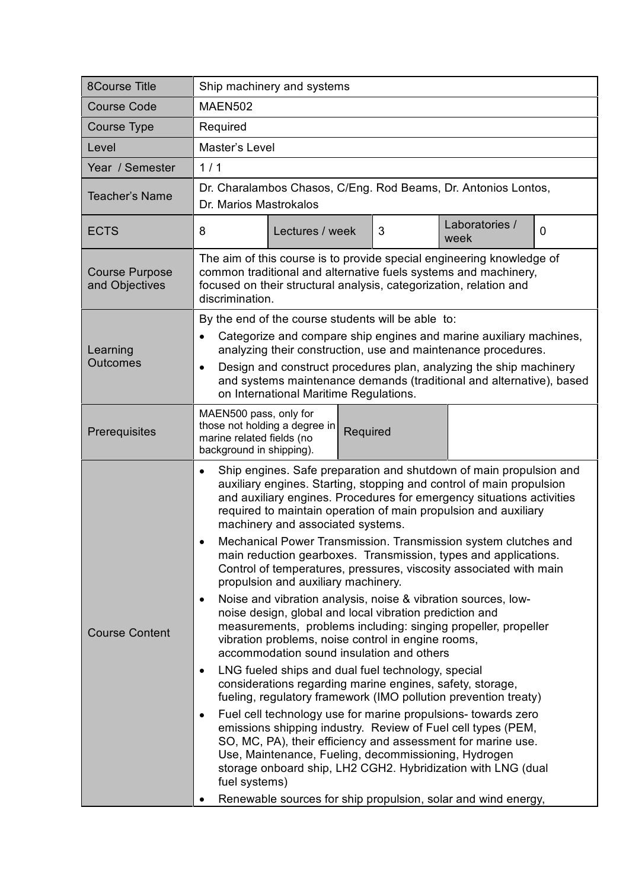| <b>8Course Title</b>                    | Ship machinery and systems                                                                                                                                                                                                                                                                                                                                                                                                                                                                                                                                                                                                                                                                                                                                                                                                                                                                                                                                                                                                                                                                                                                                                                                                                                                                                                                                                                                                                                                                                                                        |
|-----------------------------------------|---------------------------------------------------------------------------------------------------------------------------------------------------------------------------------------------------------------------------------------------------------------------------------------------------------------------------------------------------------------------------------------------------------------------------------------------------------------------------------------------------------------------------------------------------------------------------------------------------------------------------------------------------------------------------------------------------------------------------------------------------------------------------------------------------------------------------------------------------------------------------------------------------------------------------------------------------------------------------------------------------------------------------------------------------------------------------------------------------------------------------------------------------------------------------------------------------------------------------------------------------------------------------------------------------------------------------------------------------------------------------------------------------------------------------------------------------------------------------------------------------------------------------------------------------|
| <b>Course Code</b>                      | <b>MAEN502</b>                                                                                                                                                                                                                                                                                                                                                                                                                                                                                                                                                                                                                                                                                                                                                                                                                                                                                                                                                                                                                                                                                                                                                                                                                                                                                                                                                                                                                                                                                                                                    |
| Course Type                             | Required                                                                                                                                                                                                                                                                                                                                                                                                                                                                                                                                                                                                                                                                                                                                                                                                                                                                                                                                                                                                                                                                                                                                                                                                                                                                                                                                                                                                                                                                                                                                          |
| Level                                   | Master's Level                                                                                                                                                                                                                                                                                                                                                                                                                                                                                                                                                                                                                                                                                                                                                                                                                                                                                                                                                                                                                                                                                                                                                                                                                                                                                                                                                                                                                                                                                                                                    |
| Year / Semester                         | 1/1                                                                                                                                                                                                                                                                                                                                                                                                                                                                                                                                                                                                                                                                                                                                                                                                                                                                                                                                                                                                                                                                                                                                                                                                                                                                                                                                                                                                                                                                                                                                               |
| Teacher's Name                          | Dr. Charalambos Chasos, C/Eng. Rod Beams, Dr. Antonios Lontos,<br>Dr. Marios Mastrokalos                                                                                                                                                                                                                                                                                                                                                                                                                                                                                                                                                                                                                                                                                                                                                                                                                                                                                                                                                                                                                                                                                                                                                                                                                                                                                                                                                                                                                                                          |
| <b>ECTS</b>                             | Laboratories /<br>3<br>8<br>Lectures / week<br>0<br>week                                                                                                                                                                                                                                                                                                                                                                                                                                                                                                                                                                                                                                                                                                                                                                                                                                                                                                                                                                                                                                                                                                                                                                                                                                                                                                                                                                                                                                                                                          |
| <b>Course Purpose</b><br>and Objectives | The aim of this course is to provide special engineering knowledge of<br>common traditional and alternative fuels systems and machinery,<br>focused on their structural analysis, categorization, relation and<br>discrimination.                                                                                                                                                                                                                                                                                                                                                                                                                                                                                                                                                                                                                                                                                                                                                                                                                                                                                                                                                                                                                                                                                                                                                                                                                                                                                                                 |
| Learning<br><b>Outcomes</b>             | By the end of the course students will be able to:<br>Categorize and compare ship engines and marine auxiliary machines,<br>analyzing their construction, use and maintenance procedures.<br>Design and construct procedures plan, analyzing the ship machinery<br>$\bullet$<br>and systems maintenance demands (traditional and alternative), based<br>on International Maritime Regulations.                                                                                                                                                                                                                                                                                                                                                                                                                                                                                                                                                                                                                                                                                                                                                                                                                                                                                                                                                                                                                                                                                                                                                    |
| Prerequisites                           | MAEN500 pass, only for<br>those not holding a degree in<br>Required<br>marine related fields (no<br>background in shipping).                                                                                                                                                                                                                                                                                                                                                                                                                                                                                                                                                                                                                                                                                                                                                                                                                                                                                                                                                                                                                                                                                                                                                                                                                                                                                                                                                                                                                      |
| <b>Course Content</b>                   | Ship engines. Safe preparation and shutdown of main propulsion and<br>$\bullet$<br>auxiliary engines. Starting, stopping and control of main propulsion<br>and auxiliary engines. Procedures for emergency situations activities<br>required to maintain operation of main propulsion and auxiliary<br>machinery and associated systems.<br>Mechanical Power Transmission. Transmission system clutches and<br>$\bullet$<br>main reduction gearboxes. Transmission, types and applications.<br>Control of temperatures, pressures, viscosity associated with main<br>propulsion and auxiliary machinery.<br>Noise and vibration analysis, noise & vibration sources, low-<br>$\bullet$<br>noise design, global and local vibration prediction and<br>measurements, problems including: singing propeller, propeller<br>vibration problems, noise control in engine rooms,<br>accommodation sound insulation and others<br>LNG fueled ships and dual fuel technology, special<br>$\bullet$<br>considerations regarding marine engines, safety, storage,<br>fueling, regulatory framework (IMO pollution prevention treaty)<br>Fuel cell technology use for marine propulsions- towards zero<br>$\bullet$<br>emissions shipping industry. Review of Fuel cell types (PEM,<br>SO, MC, PA), their efficiency and assessment for marine use.<br>Use, Maintenance, Fueling, decommissioning, Hydrogen<br>storage onboard ship, LH2 CGH2. Hybridization with LNG (dual<br>fuel systems)<br>Renewable sources for ship propulsion, solar and wind energy, |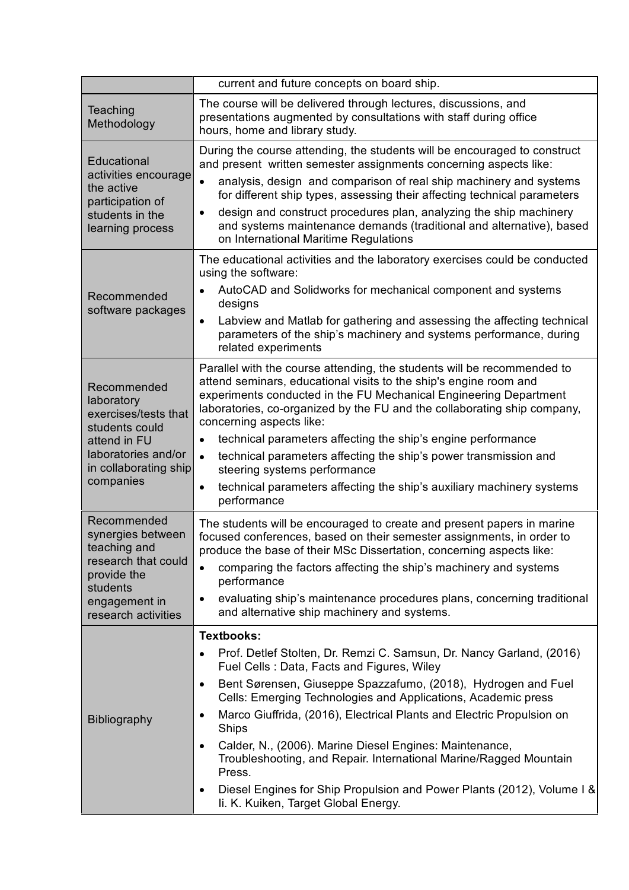|                                                                                                              | current and future concepts on board ship.                                                                                                                                                                                                                                                                                |
|--------------------------------------------------------------------------------------------------------------|---------------------------------------------------------------------------------------------------------------------------------------------------------------------------------------------------------------------------------------------------------------------------------------------------------------------------|
| Teaching<br>Methodology                                                                                      | The course will be delivered through lectures, discussions, and<br>presentations augmented by consultations with staff during office<br>hours, home and library study.                                                                                                                                                    |
| Educational<br>activities encourage<br>the active<br>participation of<br>students in the<br>learning process | During the course attending, the students will be encouraged to construct<br>and present written semester assignments concerning aspects like:                                                                                                                                                                            |
|                                                                                                              | analysis, design and comparison of real ship machinery and systems<br>$\bullet$<br>for different ship types, assessing their affecting technical parameters                                                                                                                                                               |
|                                                                                                              | design and construct procedures plan, analyzing the ship machinery<br>$\bullet$<br>and systems maintenance demands (traditional and alternative), based<br>on International Maritime Regulations                                                                                                                          |
| Recommended<br>software packages                                                                             | The educational activities and the laboratory exercises could be conducted<br>using the software:                                                                                                                                                                                                                         |
|                                                                                                              | AutoCAD and Solidworks for mechanical component and systems<br>designs                                                                                                                                                                                                                                                    |
|                                                                                                              | Labview and Matlab for gathering and assessing the affecting technical<br>$\bullet$<br>parameters of the ship's machinery and systems performance, during<br>related experiments                                                                                                                                          |
| Recommended<br>laboratory<br>exercises/tests that<br>students could<br>attend in FU<br>laboratories and/or   | Parallel with the course attending, the students will be recommended to<br>attend seminars, educational visits to the ship's engine room and<br>experiments conducted in the FU Mechanical Engineering Department<br>laboratories, co-organized by the FU and the collaborating ship company,<br>concerning aspects like: |
|                                                                                                              | technical parameters affecting the ship's engine performance<br>$\bullet$<br>technical parameters affecting the ship's power transmission and<br>$\bullet$                                                                                                                                                                |
| in collaborating ship<br>companies                                                                           | steering systems performance                                                                                                                                                                                                                                                                                              |
|                                                                                                              | technical parameters affecting the ship's auxiliary machinery systems<br>$\bullet$<br>performance                                                                                                                                                                                                                         |
| Recommended<br>synergies between<br>teaching and                                                             | The students will be encouraged to create and present papers in marine<br>focused conferences, based on their semester assignments, in order to<br>produce the base of their MSc Dissertation, concerning aspects like:                                                                                                   |
| research that could<br>provide the<br>students                                                               | comparing the factors affecting the ship's machinery and systems<br>performance                                                                                                                                                                                                                                           |
| engagement in<br>research activities                                                                         | evaluating ship's maintenance procedures plans, concerning traditional<br>$\bullet$<br>and alternative ship machinery and systems.                                                                                                                                                                                        |
| <b>Bibliography</b>                                                                                          | <b>Textbooks:</b>                                                                                                                                                                                                                                                                                                         |
|                                                                                                              | Prof. Detlef Stolten, Dr. Remzi C. Samsun, Dr. Nancy Garland, (2016)<br>$\bullet$<br>Fuel Cells: Data, Facts and Figures, Wiley                                                                                                                                                                                           |
|                                                                                                              | Bent Sørensen, Giuseppe Spazzafumo, (2018), Hydrogen and Fuel<br>$\bullet$<br>Cells: Emerging Technologies and Applications, Academic press                                                                                                                                                                               |
|                                                                                                              | Marco Giuffrida, (2016), Electrical Plants and Electric Propulsion on<br>$\bullet$<br>Ships                                                                                                                                                                                                                               |
|                                                                                                              | Calder, N., (2006). Marine Diesel Engines: Maintenance,<br>$\bullet$<br>Troubleshooting, and Repair. International Marine/Ragged Mountain<br>Press.                                                                                                                                                                       |
|                                                                                                              | Diesel Engines for Ship Propulsion and Power Plants (2012), Volume I &<br>$\bullet$<br>Ii. K. Kuiken, Target Global Energy.                                                                                                                                                                                               |